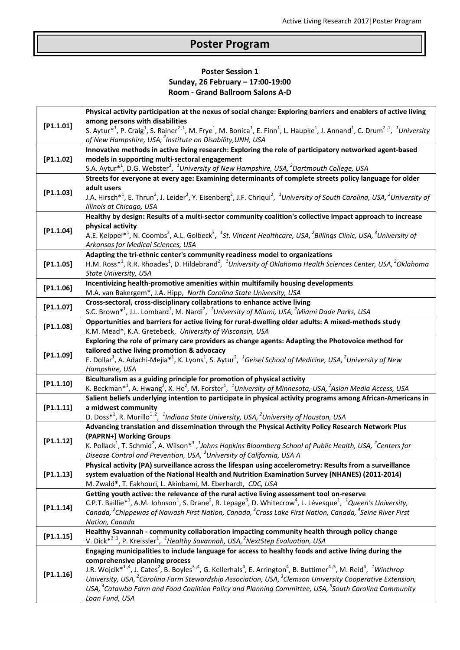## **Poster Program**

## **Poster Session 1 Sunday, 26 February – 17:00-19:00 Room - Grand Ballroom Salons A-D**

|           | Physical activity participation at the nexus of social change: Exploring barriers and enablers of active living                                                                                                                                       |
|-----------|-------------------------------------------------------------------------------------------------------------------------------------------------------------------------------------------------------------------------------------------------------|
| [P1.1.01] | among persons with disabilities                                                                                                                                                                                                                       |
|           | S. Aytur <sup>*1</sup> , P. Craig <sup>1</sup> , S. Rainer <sup>2,1</sup> , M. Frye <sup>1</sup> , M. Bonica <sup>1</sup> , E. Finn <sup>1</sup> , L. Haupke <sup>1</sup> , J. Annand <sup>1</sup> , C. Drum <sup>2,1</sup> , <sup>1</sup> University |
|           | of New Hampshire, USA, <sup>2</sup> Institute on Disability, UNH, USA                                                                                                                                                                                 |
| [P1.1.02] | Innovative methods in active living research: Exploring the role of participatory networked agent-based                                                                                                                                               |
|           | models in supporting multi-sectoral engagement<br>S.A. Aytur <sup>*1</sup> , D.G. Webster <sup>2</sup> , <sup>1</sup> University of New Hampshire, USA, <sup>2</sup> Dartmouth College, USA                                                           |
|           | Streets for everyone at every age: Examining determinants of complete streets policy language for older                                                                                                                                               |
|           | adult users                                                                                                                                                                                                                                           |
| [P1.1.03] | J.A. Hirsch <sup>*1</sup> , E. Thrun <sup>2</sup> , J. Leider <sup>2</sup> , Y. Eisenberg <sup>2</sup> , J.F. Chriqui <sup>2</sup> , <sup>1</sup> University of South Carolina, USA, <sup>2</sup> University of                                       |
|           | Illinois at Chicago, USA                                                                                                                                                                                                                              |
|           | Healthy by design: Results of a multi-sector community coalition's collective impact approach to increase                                                                                                                                             |
| [P1.1.04] | physical activity                                                                                                                                                                                                                                     |
|           | A.E. Keippel <sup>*1</sup> , N. Coombs <sup>2</sup> , A.L. Golbeck <sup>3</sup> , <sup>1</sup> St. Vincent Healthcare, USA, <sup>2</sup> Billings Clinic, USA, <sup>3</sup> University of                                                             |
|           | Arkansas for Medical Sciences, USA                                                                                                                                                                                                                    |
|           | Adapting the tri-ethnic center's community readiness model to organizations                                                                                                                                                                           |
| [P1.1.05] | H.M. Ross <sup>*1</sup> , R.R. Rhoades <sup>1</sup> , D. Hildebrand <sup>2</sup> , <sup>1</sup> University of Oklahoma Health Sciences Center, USA, <sup>2</sup> Oklahoma                                                                             |
|           | State University, USA                                                                                                                                                                                                                                 |
| [P1.1.06] | Incentivizing health-promotive amenities within multifamily housing developments                                                                                                                                                                      |
|           | M.A. van Bakergem*, J.A. Hipp, North Carolina State University, USA                                                                                                                                                                                   |
| [P1.1.07] | Cross-sectoral, cross-disciplinary collabrations to enhance active living<br>S.C. Brown <sup>*1</sup> , J.L. Lombard <sup>1</sup> , M. Nardi <sup>2</sup> , <sup>1</sup> University of Miami, USA, <sup>2</sup> Miami Dade Parks, USA                 |
|           | Opportunities and barriers for active living for rural-dwelling older adults: A mixed-methods study                                                                                                                                                   |
| [P1.1.08] | K.M. Mead*, K.A. Gretebeck, University of Wisconsin, USA                                                                                                                                                                                              |
|           | Exploring the role of primary care providers as change agents: Adapting the Photovoice method for                                                                                                                                                     |
|           | tailored active living promotion & advocacy                                                                                                                                                                                                           |
| [P1.1.09] | E. Dollar <sup>1</sup> , A. Adachi-Mejia <sup>*1</sup> , K. Lyons <sup>1</sup> , S. Aytur <sup>2</sup> , <sup>1</sup> Geisel School of Medicine, USA, <sup>2</sup> University of New                                                                  |
|           | Hampshire, USA                                                                                                                                                                                                                                        |
| [P1.1.10] | Biculturalism as a guiding principle for promotion of physical activity                                                                                                                                                                               |
|           | K. Beckman <sup>*1</sup> , A. Hwang <sup>2</sup> , X. He <sup>2</sup> , M. Forster <sup>1</sup> , <sup>1</sup> University of Minnesota, USA, <sup>2</sup> Asian Media Access, USA                                                                     |
|           | Salient beliefs underlying intention to participate in physical activity programs among African-Americans in                                                                                                                                          |
| [P1.1.11] | a midwest community                                                                                                                                                                                                                                   |
|           | D. Doss <sup>*1</sup> , R. Murillo <sup>1,2</sup> , <sup>1</sup> Indiana State University, USA, <sup>2</sup> University of Houston, USA                                                                                                               |
|           | Advancing translation and dissemination through the Physical Activity Policy Research Network Plus<br>(PAPRN+) Working Groups                                                                                                                         |
| [P1.1.12] | K. Pollack <sup>1</sup> , T. Schmid <sup>2</sup> , A. Wilson <sup>*3</sup> , <sup>1</sup> Johns Hopkins Bloomberg School of Public Health, USA, <sup>2</sup> Centers for                                                                              |
|           | Disease Control and Prevention, USA, <sup>3</sup> University of California, USA A                                                                                                                                                                     |
|           | Physical activity (PA) surveillance across the lifespan using accelerometry: Results from a surveillance                                                                                                                                              |
| [P1.1.13] | system evaluation of the National Health and Nutrition Examination Survey (NHANES) (2011-2014)                                                                                                                                                        |
|           | M. Zwald*, T. Fakhouri, L. Akinbami, M. Eberhardt, CDC, USA                                                                                                                                                                                           |
|           | Getting youth active: the relevance of the rural active living assessment tool on-reserve                                                                                                                                                             |
| [P1.1.14] | C.P.T. Baillie <sup>*1</sup> , A.M. Johnson <sup>1</sup> , S. Drane <sup>2</sup> , R. Lepage <sup>3</sup> , D. Whitecrow <sup>4</sup> , L. Lévesque <sup>1</sup> , <sup>1</sup> Queen's University,                                                   |
|           | Canada, <sup>2</sup> Chippewas of Nawash First Nation, Canada, <sup>3</sup> Cross Lake First Nation, Canada, <sup>4</sup> Seine River First                                                                                                           |
|           | Nation, Canada                                                                                                                                                                                                                                        |
| [P1.1.15] | Healthy Savannah - community collaboration impacting community health through policy change                                                                                                                                                           |
|           | V. Dick $*^{2,1}$ , P. Kreissler <sup>1</sup> , <sup>1</sup> Healthy Savannah, USA, <sup>2</sup> NextStep Evaluation, USA                                                                                                                             |
|           | Engaging municipalities to include language for access to healthy foods and active living during the                                                                                                                                                  |
|           | comprehensive planning process<br>J.R. Wojcik <sup>*1,4</sup> , J. Cates <sup>2</sup> , B. Boyles <sup>3,4</sup> , G. Kellerhals <sup>4</sup> , E. Arrington <sup>4</sup> , B. Buttimer <sup>4,5</sup> , M. Reid <sup>4</sup> , <sup>1</sup> Winthrop |
| [P1.1.16] | University, USA, <sup>2</sup> Carolina Farm Stewardship Association, USA, <sup>3</sup> Clemson University Cooperative Extension,                                                                                                                      |
|           | USA, <sup>4</sup> Catawba Farm and Food Coalition Policy and Planning Committee, USA, <sup>5</sup> South Carolina Community                                                                                                                           |
|           | Loan Fund, USA                                                                                                                                                                                                                                        |
|           |                                                                                                                                                                                                                                                       |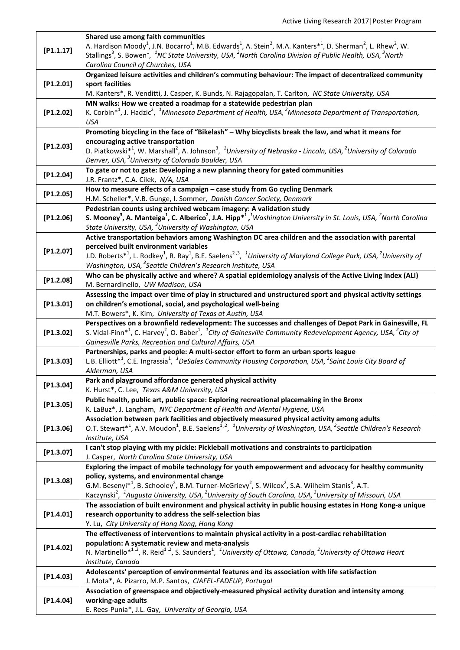|           | Shared use among faith communities                                                                                                                                                                |
|-----------|---------------------------------------------------------------------------------------------------------------------------------------------------------------------------------------------------|
| [P1.1.17] | A. Hardison Moody <sup>1</sup> , J.N. Bocarro <sup>1</sup> , M.B. Edwards <sup>1</sup> , A. Stein <sup>2</sup> , M.A. Kanters <sup>*1</sup> , D. Sherman <sup>2</sup> , L. Rhew <sup>2</sup> , W. |
|           | Stallings <sup>3</sup> , S. Bowen <sup>1</sup> , <sup>1</sup> NC State University, USA, <sup>2</sup> North Carolina Division of Public Health, USA, <sup>3</sup> North                            |
|           | Carolina Council of Churches, USA                                                                                                                                                                 |
|           | Organized leisure activities and children's commuting behaviour: The impact of decentralized community                                                                                            |
| [P1.2.01] | sport facilities                                                                                                                                                                                  |
|           | M. Kanters*, R. Venditti, J. Casper, K. Bunds, N. Rajagopalan, T. Carlton, NC State University, USA                                                                                               |
| [P1.2.02] | MN walks: How we created a roadmap for a statewide pedestrian plan                                                                                                                                |
|           | K. Corbin* <sup>1</sup> , J. Hadzic <sup>2</sup> , <sup>1</sup> Minnesota Department of Health, USA, <sup>2</sup> Minnesota Department of Transportation,                                         |
|           | <b>USA</b><br>Promoting bicycling in the face of "Bikelash" - Why bicyclists break the law, and what it means for                                                                                 |
| [P1.2.03] | encouraging active transportation                                                                                                                                                                 |
|           | D. Piatkowski $*^1$ , W. Marshall <sup>2</sup> , A. Johnson <sup>3</sup> , <sup>1</sup> University of Nebraska - Lincoln, USA, <sup>2</sup> University of Colorado                                |
|           | Denver, USA, <sup>3</sup> University of Colorado Boulder, USA                                                                                                                                     |
|           | To gate or not to gate: Developing a new planning theory for gated communities                                                                                                                    |
| [P1.2.04] | J.R. Frantz*, C.A. Cilek, N/A, USA                                                                                                                                                                |
|           | How to measure effects of a campaign - case study from Go cycling Denmark                                                                                                                         |
| [P1.2.05] | H.M. Scheller*, V.B. Gunge, I. Sommer, Danish Cancer Society, Denmark                                                                                                                             |
|           | Pedestrian counts using archived webcam imagery: A validation study                                                                                                                               |
| [P1.2.06] | S. Mooney <sup>3</sup> , A. Manteiga <sup>1</sup> , C. Alberico <sup>2</sup> , J.A. Hipp <sup>*1</sup> , <sup>1</sup> Washington University in St. Louis, USA, <sup>2</sup> North Carolina        |
|           | State University, USA, <sup>3</sup> University of Washington, USA                                                                                                                                 |
|           | Active transportation behaviors among Washington DC area children and the association with parental                                                                                               |
| [P1.2.07] | perceived built environment variables                                                                                                                                                             |
|           | J.D. Roberts <sup>*1</sup> , L. Rodkey <sup>1</sup> , R. Ray <sup>1</sup> , B.E. Saelens <sup>2,3</sup> , <sup>1</sup> University of Maryland College Park, USA, <sup>2</sup> University of       |
|           | Washington, USA, <sup>3</sup> Seattle Children's Research Institute, USA                                                                                                                          |
| [P1.2.08] | Who can be physically active and where? A spatial epidemiology analysis of the Active Living Index (ALI)                                                                                          |
|           | M. Bernardinello, UW Madison, USA                                                                                                                                                                 |
| [P1.3.01] | Assessing the impact over time of play in structured and unstructured sport and physical activity settings<br>on children's emotional, social, and psychological well-being                       |
|           | M.T. Bowers*, K. Kim, University of Texas at Austin, USA                                                                                                                                          |
|           | Perspectives on a brownfield redevelopment: The successes and challenges of Depot Park in Gainesville, FL                                                                                         |
| [P1.3.02] | S. Vidal-Finn <sup>*1</sup> , C. Harvey <sup>2</sup> , O. Baber <sup>1</sup> , <sup>1</sup> City of Gainesville Community Redevelopment Agency, USA, <sup>2</sup> City of                         |
|           | Gainesville Parks, Recreation and Cultural Affairs, USA                                                                                                                                           |
|           | Partnerships, parks and people: A multi-sector effort to form an urban sports league                                                                                                              |
| [P1.3.03] | L.B. Elliott <sup>*1</sup> , C.E. Ingrassia <sup>1</sup> , <sup>1</sup> DeSales Community Housing Corporation, USA, <sup>2</sup> Saint Louis City Board of                                        |
|           | Alderman, USA                                                                                                                                                                                     |
| [P1.3.04] | Park and playground affordance generated physical activity                                                                                                                                        |
|           | K. Hurst*, C. Lee, Texas A&M University, USA                                                                                                                                                      |
| [P1.3.05] | Public health, public art, public space: Exploring recreational placemaking in the Bronx                                                                                                          |
|           | K. LaBuz*, J. Langham, NYC Department of Health and Mental Hygiene, USA                                                                                                                           |
|           | Association between park facilities and objectively measured physical activity among adults                                                                                                       |
| [P1.3.06] | O.T. Stewart <sup>*1</sup> , A.V. Moudon <sup>1</sup> , B.E. Saelens <sup>1,2</sup> , <sup>1</sup> University of Washington, USA, <sup>2</sup> Seattle Children's Research<br>Institute, USA      |
|           | I can't stop playing with my pickle: Pickleball motivations and constraints to participation                                                                                                      |
| [P1.3.07] | J. Casper, North Carolina State University, USA                                                                                                                                                   |
|           | Exploring the impact of mobile technology for youth empowerment and advocacy for healthy community                                                                                                |
|           | policy, systems, and environmental change                                                                                                                                                         |
| [P1.3.08] | G.M. Besenyi <sup>*1</sup> , B. Schooley <sup>2</sup> , B.M. Turner-McGrievy <sup>2</sup> , S. Wilcox <sup>2</sup> , S.A. Wilhelm Stanis <sup>3</sup> , A.T.                                      |
|           | Kaczynski <sup>2</sup> , <sup>1</sup> Augusta University, USA, <sup>2</sup> University of South Carolina, USA, <sup>3</sup> University of Missouri, USA                                           |
|           | The association of built environment and physical activity in public housing estates in Hong Kong-a unique                                                                                        |
| [P1.4.01] | research opportunity to address the self-selection bias                                                                                                                                           |
|           | Y. Lu, City University of Hong Kong, Hong Kong                                                                                                                                                    |
|           | The effectiveness of interventions to maintain physical activity in a post-cardiac rehabilitation                                                                                                 |
| [P1.4.02] | population: A systematic review and meta-analysis                                                                                                                                                 |
|           | N. Martinello* <sup>1,2</sup> , R. Reid <sup>1,2</sup> , S. Saunders <sup>1</sup> , <sup>1</sup> University of Ottawa, Canada, <sup>2</sup> University of Ottawa Heart                            |
|           | Institute, Canada                                                                                                                                                                                 |
| [P1.4.03] | Adolescents' perception of environmental features and its association with life satisfaction                                                                                                      |
|           | J. Mota*, A. Pizarro, M.P. Santos, CIAFEL-FADEUP, Portugal                                                                                                                                        |
| [P1.4.04] | Association of greenspace and objectively-measured physical activity duration and intensity among                                                                                                 |
|           | working-age adults<br>E. Rees-Punia*, J.L. Gay, University of Georgia, USA                                                                                                                        |
|           |                                                                                                                                                                                                   |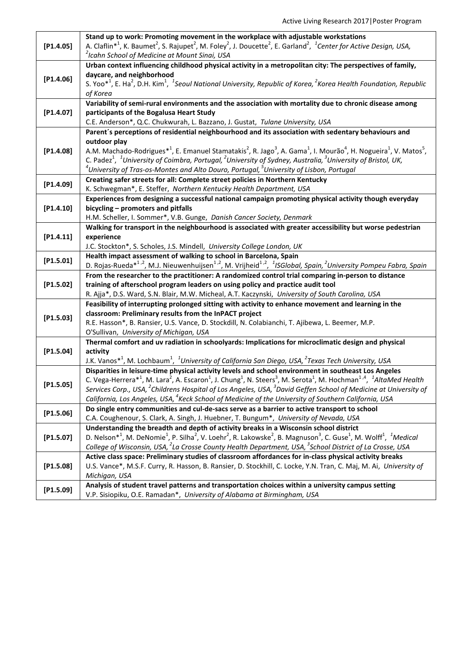|           | Stand up to work: Promoting movement in the workplace with adjustable workstations                                                                                                                                                                                                                                                                            |
|-----------|---------------------------------------------------------------------------------------------------------------------------------------------------------------------------------------------------------------------------------------------------------------------------------------------------------------------------------------------------------------|
| [P1.4.05] | A. Claflin <sup>*1</sup> , K. Baumet <sup>2</sup> , S. Rajupet <sup>2</sup> , M. Foley <sup>2</sup> , J. Doucette <sup>2</sup> , E. Garland <sup>2</sup> , <sup>1</sup> Center for Active Design, USA,                                                                                                                                                        |
|           | <sup>2</sup> Icahn School of Medicine at Mount Sinai, USA                                                                                                                                                                                                                                                                                                     |
|           | Urban context influencing childhood physical activity in a metropolitan city: The perspectives of family,                                                                                                                                                                                                                                                     |
| [P1.4.06] | daycare, and neighborhood                                                                                                                                                                                                                                                                                                                                     |
|           | S. Yoo <sup>*1</sup> , E. Ha <sup>2</sup> , D.H. Kim <sup>1</sup> , <sup>1</sup> Seoul National University, Republic of Korea, <sup>2</sup> Korea Health Foundation, Republic                                                                                                                                                                                 |
|           | of Korea                                                                                                                                                                                                                                                                                                                                                      |
|           | Variability of semi-rural environments and the association with mortality due to chronic disease among                                                                                                                                                                                                                                                        |
| [P1.4.07] | participants of the Bogalusa Heart Study                                                                                                                                                                                                                                                                                                                      |
|           | C.E. Anderson*, Q.C. Chukwurah, L. Bazzano, J. Gustat, Tulane University, USA                                                                                                                                                                                                                                                                                 |
| [P1.4.08] | Parent's perceptions of residential neighbourhood and its association with sedentary behaviours and                                                                                                                                                                                                                                                           |
|           | outdoor play                                                                                                                                                                                                                                                                                                                                                  |
|           | A.M. Machado-Rodrigues <sup>*1</sup> , E. Emanuel Stamatakis <sup>2</sup> , R. Jago <sup>3</sup> , A. Gama <sup>1</sup> , I. Mourão <sup>4</sup> , H. Nogueira <sup>1</sup> , V. Matos <sup>5</sup> ,                                                                                                                                                         |
|           | C. Padez <sup>1</sup> , <sup>1</sup> University of Coimbra, Portugal, <sup>2</sup> University of Sydney, Australia, <sup>3</sup> University of Bristol, UK,                                                                                                                                                                                                   |
|           | <sup>4</sup> University of Tras-os-Montes and Alto Douro, Portugal, <sup>5</sup> University of Lisbon, Portugal                                                                                                                                                                                                                                               |
| [P1.4.09] | Creating safer streets for all: Complete street policies in Northern Kentucky                                                                                                                                                                                                                                                                                 |
|           | K. Schwegman*, E. Steffer, Northern Kentucky Health Department, USA<br>Experiences from designing a successful national campaign promoting physical activity though everyday                                                                                                                                                                                  |
| [P1.4.10] | bicycling - promoters and pitfalls                                                                                                                                                                                                                                                                                                                            |
|           | H.M. Scheller, I. Sommer*, V.B. Gunge, Danish Cancer Society, Denmark                                                                                                                                                                                                                                                                                         |
|           | Walking for transport in the neighbourhood is associated with greater accessibility but worse pedestrian                                                                                                                                                                                                                                                      |
| [P1.4.11] | experience                                                                                                                                                                                                                                                                                                                                                    |
|           | J.C. Stockton*, S. Scholes, J.S. Mindell, University College London, UK                                                                                                                                                                                                                                                                                       |
|           | Health impact assessment of walking to school in Barcelona, Spain                                                                                                                                                                                                                                                                                             |
| [P1.5.01] | D. Rojas-Rueda <sup>*1,2</sup> , M.J. Nieuwenhuijsen <sup>1,2</sup> , M. Vrijheid <sup>1,2</sup> , <sup>1</sup> JSGlobal, Spain, <sup>2</sup> University Pompeu Fabra, Spain                                                                                                                                                                                  |
|           | From the researcher to the practitioner: A randomized control trial comparing in-person to distance                                                                                                                                                                                                                                                           |
| [P1.5.02] | training of afterschool program leaders on using policy and practice audit tool                                                                                                                                                                                                                                                                               |
|           | R. Ajja*, D.S. Ward, S.N. Blair, M.W. Micheal, A.T. Kaczynski, University of South Carolina, USA                                                                                                                                                                                                                                                              |
|           | Feasibility of interrupting prolonged sitting with activity to enhance movement and learning in the                                                                                                                                                                                                                                                           |
| [P1.5.03] | classroom: Preliminary results from the InPACT project                                                                                                                                                                                                                                                                                                        |
|           | R.E. Hasson*, B. Ransier, U.S. Vance, D. Stockdill, N. Colabianchi, T. Ajibewa, L. Beemer, M.P.                                                                                                                                                                                                                                                               |
|           | O'Sullivan, University of Michigan, USA                                                                                                                                                                                                                                                                                                                       |
|           | Thermal comfort and uv radiation in schoolyards: Implications for microclimatic design and physical                                                                                                                                                                                                                                                           |
| [P1.5.04] | activity                                                                                                                                                                                                                                                                                                                                                      |
|           | J.K. Vanos <sup>*1</sup> , M. Lochbaum <sup>1</sup> , <sup>1</sup> University of California San Diego, USA, <sup>2</sup> Texas Tech University, USA                                                                                                                                                                                                           |
|           | Disparities in leisure-time physical activity levels and school environment in southeast Los Angeles                                                                                                                                                                                                                                                          |
| [P1.5.05] | C. Vega-Herrera* <sup>1</sup> , M. Lara <sup>2</sup> , A. Escaron <sup>1</sup> , J. Chung <sup>1</sup> , N. Steers <sup>3</sup> , M. Serota <sup>1</sup> , M. Hochman <sup>1,4</sup> , <sup>1</sup> AltaMed Health<br>Services Corp., USA, <sup>2</sup> Childrens Hospital of Los Angeles, USA, <sup>3</sup> David Geffen School of Medicine at University of |
|           | California, Los Angeles, USA, <sup>4</sup> Keck School of Medicine of the University of Southern California, USA                                                                                                                                                                                                                                              |
|           | Do single entry communities and cul-de-sacs serve as a barrier to active transport to school                                                                                                                                                                                                                                                                  |
| [P1.5.06] | C.A. Coughenour, S. Clark, A. Singh, J. Huebner, T. Bungum*, University of Nevada, USA                                                                                                                                                                                                                                                                        |
|           | Understanding the breadth and depth of activity breaks in a Wisconsin school district                                                                                                                                                                                                                                                                         |
| [P1.5.07] | D. Nelson <sup>*1</sup> , M. DeNomie <sup>1</sup> , P. Silha <sup>2</sup> , V. Loehr <sup>2</sup> , R. Lakowske <sup>2</sup> , B. Magnuson <sup>3</sup> , C. Guse <sup>1</sup> , M. Wolff <sup>1</sup> , <sup>1</sup> Medical                                                                                                                                 |
|           | College of Wisconsin, USA, <sup>2</sup> La Crosse County Health Department, USA, <sup>3</sup> School District of La Crosse, USA                                                                                                                                                                                                                               |
|           | Active class space: Preliminary studies of classroom affordances for in-class physical activity breaks                                                                                                                                                                                                                                                        |
| [P1.5.08] | U.S. Vance*, M.S.F. Curry, R. Hasson, B. Ransier, D. Stockhill, C. Locke, Y.N. Tran, C. Maj, M. Ai, University of                                                                                                                                                                                                                                             |
|           | Michigan, USA                                                                                                                                                                                                                                                                                                                                                 |
| [P1.5.09] | Analysis of student travel patterns and transportation choices within a university campus setting                                                                                                                                                                                                                                                             |
|           | V.P. Sisiopiku, O.E. Ramadan*, University of Alabama at Birmingham, USA                                                                                                                                                                                                                                                                                       |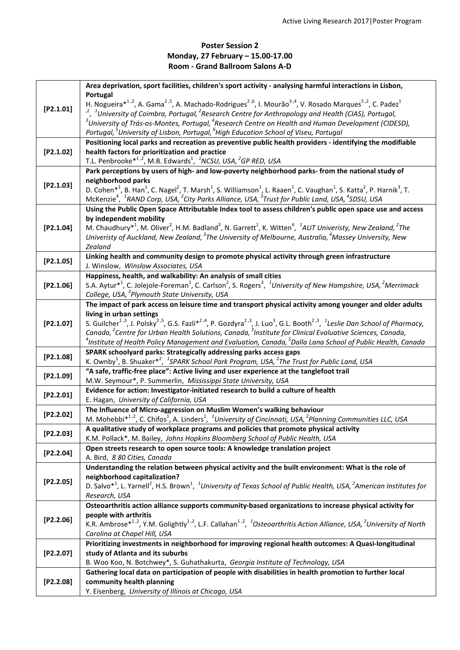## **Poster Session 2 Monday, 27 February – 15.00-17.00 Room - Grand Ballroom Salons A-D**

|           | Area deprivation, sport facilities, children's sport activity - analysing harmful interactions in Lisbon,                                                                                                                                                                                                                                          |
|-----------|----------------------------------------------------------------------------------------------------------------------------------------------------------------------------------------------------------------------------------------------------------------------------------------------------------------------------------------------------|
| [P2.1.01] | Portugal                                                                                                                                                                                                                                                                                                                                           |
|           | H. Nogueira $*^{1,2}$ , A. Gama <sup>2,5</sup> , A. Machado-Rodrigues <sup>2,6</sup> , I. Mourão <sup>3,4</sup> , V. Rosado Marques <sup>5,2</sup> , C. Padez <sup>1</sup>                                                                                                                                                                         |
|           | $n^2$ , <sup>1</sup> University of Coimbra, Portugal, <sup>2</sup> Research Centre for Anthropology and Health (CIAS), Portugal,<br>$3$ University of Trás-os-Montes, Portugal, $4$ Research Centre on Health and Human Development (CIDESD),                                                                                                      |
|           | Portugal, <sup>5</sup> University of Lisbon, Portugal, <sup>6</sup> High Education School of Viseu, Portugal                                                                                                                                                                                                                                       |
|           | Positioning local parks and recreation as preventive public health providers - identifying the modifiable                                                                                                                                                                                                                                          |
| [P2.1.02] | health factors for prioritization and practice                                                                                                                                                                                                                                                                                                     |
|           | T.L. Penbrooke <sup>*1,2</sup> , M.B. Edwards <sup>1</sup> , <sup>1</sup> NCSU, USA, <sup>2</sup> GP RED, USA                                                                                                                                                                                                                                      |
| [P2.1.03] | Park perceptions by users of high- and low-poverty neighborhood parks- from the national study of                                                                                                                                                                                                                                                  |
|           | neighborhood parks                                                                                                                                                                                                                                                                                                                                 |
|           | D. Cohen* <sup>1</sup> , B. Han <sup>1</sup> , C. Nagel <sup>2</sup> , T. Marsh <sup>1</sup> , S. Williamson <sup>1</sup> , L. Raaen <sup>1</sup> , C. Vaughan <sup>1</sup> , S. Katta <sup>2</sup> , P. Harnik <sup>3</sup> , T.                                                                                                                  |
|           | McKenzie <sup>4</sup> , <sup>1</sup> RAND Corp, USA, <sup>2</sup> City Parks Alliance, USA, <sup>3</sup> Trust for Public Land, USA, <sup>4</sup> SDSU, USA                                                                                                                                                                                        |
|           | Using the Public Open Space Attributable Index tool to assess children's public open space use and access                                                                                                                                                                                                                                          |
|           | by independent mobility                                                                                                                                                                                                                                                                                                                            |
| [P2.1.04] | M. Chaudhury <sup>*1</sup> , M. Oliver <sup>2</sup> , H.M. Badland <sup>3</sup> , N. Garrett <sup>1</sup> , K. Witten <sup>4</sup> , <sup>1</sup> AUT Univeristy, New Zealand, <sup>2</sup> The                                                                                                                                                    |
|           | Univeristy of Auckland, New Zealand, <sup>3</sup> The University of Melbourne, Australia, <sup>4</sup> Massey University, New<br>Zealand                                                                                                                                                                                                           |
|           | Linking health and community design to promote physical activity through green infrastructure                                                                                                                                                                                                                                                      |
| [P2.1.05] | J. Winslow, Winslow Associates, USA                                                                                                                                                                                                                                                                                                                |
|           | Happiness, health, and walkability: An analysis of small cities                                                                                                                                                                                                                                                                                    |
| [P2.1.06] | S.A. Aytur <sup>*1</sup> , C. Jolejole-Foreman <sup>1</sup> , C. Carlson <sup>2</sup> , S. Rogers <sup>3</sup> , <sup>1</sup> University of New Hampshire, USA, <sup>2</sup> Merrimack                                                                                                                                                             |
|           | College, USA, <sup>3</sup> Plymouth State University, USA                                                                                                                                                                                                                                                                                          |
|           | The impact of park access on leisure time and transport physical activity among younger and older adults                                                                                                                                                                                                                                           |
|           | living in urban settings                                                                                                                                                                                                                                                                                                                           |
| [P2.1.07] | S. Guilcher <sup>1,3</sup> , J. Polsky <sup>2,5</sup> , G.S. Fazli* <sup>2,4</sup> , P. Gozdyra <sup>2,3</sup> , J. Luo <sup>3</sup> , G.L. Booth <sup>2,3</sup> , <sup>1</sup> Leslie Dan School of Pharmacy,<br>Canada, <sup>2</sup> Centre for Urban Health Solutions, Canada, <sup>3</sup> Institute for Clinical Evaluative Sciences, Canada, |
|           | $^4$ Institute of Health Policy Management and Evaluation, Canada, $^5$ Dalla Lana School of Public Health, Canada                                                                                                                                                                                                                                 |
|           | SPARK schoolyard parks: Strategically addressing parks access gaps                                                                                                                                                                                                                                                                                 |
| [P2.1.08] | K. Ownby <sup>1</sup> , B. Shuaker <sup>*2</sup> , <sup>1</sup> SPARK School Park Program, USA, <sup>2</sup> The Trust for Public Land, USA                                                                                                                                                                                                        |
| [P2.1.09] | "A safe, traffic-free place": Active living and user experience at the tanglefoot trail                                                                                                                                                                                                                                                            |
|           | M.W. Seymour*, P. Summerlin, Mississippi State University, USA                                                                                                                                                                                                                                                                                     |
| [P2.2.01] | Evidence for action: Investigator-initiated research to build a culture of health                                                                                                                                                                                                                                                                  |
|           | E. Hagan, University of California, USA                                                                                                                                                                                                                                                                                                            |
| [P2.2.02] | The Influence of Micro-aggression on Muslim Women's walking behaviour                                                                                                                                                                                                                                                                              |
|           | M. Mohebbi $*^{1,2}$ , C. Chifos <sup>1</sup> , A. Linders <sup>1</sup> , <sup>1</sup> University of Cincinnati, USA, <sup>2</sup> Planning Communities LLC, USA<br>A qualitative study of workplace programs and policies that promote physical activity                                                                                          |
| [P2.2.03] | K.M. Pollack*, M. Bailey, Johns Hopkins Bloomberg School of Public Health, USA                                                                                                                                                                                                                                                                     |
|           | Open streets research to open source tools: A knowledge translation project                                                                                                                                                                                                                                                                        |
| [P2.2.04] | A. Bird, 8 80 Cities, Canada                                                                                                                                                                                                                                                                                                                       |
|           | Understanding the relation between physical activity and the built environment: What is the role of                                                                                                                                                                                                                                                |
| [P2.2.05] | neighborhood capitalization?                                                                                                                                                                                                                                                                                                                       |
|           | D. Salvo* <sup>1</sup> , L. Yarnell <sup>2</sup> , H.S. Brown <sup>1</sup> , <sup>1</sup> University of Texas School of Public Health, USA, <sup>2</sup> American Institutes for                                                                                                                                                                   |
|           | Research, USA                                                                                                                                                                                                                                                                                                                                      |
|           | Osteoarthritis action alliance supports community-based organizations to increase physical activity for                                                                                                                                                                                                                                            |
| [P2.2.06] | people with arthritis                                                                                                                                                                                                                                                                                                                              |
|           | K.R. Ambrose <sup>*1,2</sup> , Y.M. Golightly <sup>1,2</sup> , L.F. Callahan <sup>1,2</sup> , <sup>1</sup> Osteoarthritis Action Alliance, USA, <sup>2</sup> University of North                                                                                                                                                                   |
|           | Carolina at Chapel Hill, USA<br>Prioritizing investments in neighborhood for improving regional health outcomes: A Quasi-longitudinal                                                                                                                                                                                                              |
| [P2.2.07] | study of Atlanta and its suburbs                                                                                                                                                                                                                                                                                                                   |
|           | B. Woo Koo, N. Botchwey*, S. Guhathakurta, Georgia Institute of Technology, USA                                                                                                                                                                                                                                                                    |
| [P2.2.08] | Gathering local data on participation of people with disabilities in health promotion to further local                                                                                                                                                                                                                                             |
|           | community health planning                                                                                                                                                                                                                                                                                                                          |
|           | Y. Eisenberg, University of Illinois at Chicago, USA                                                                                                                                                                                                                                                                                               |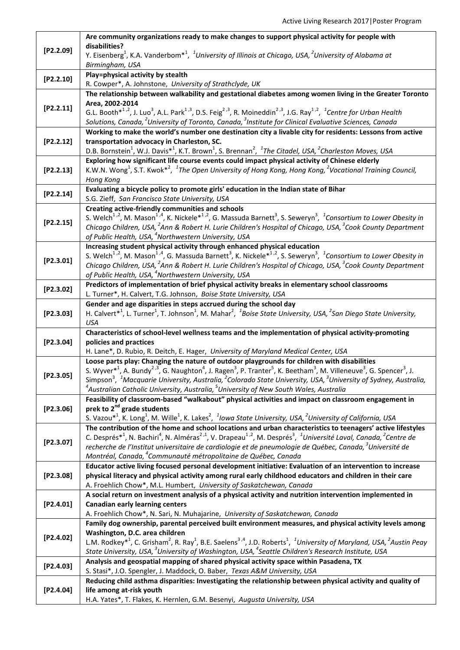|           | Are community organizations ready to make changes to support physical activity for people with                                                                                                                      |
|-----------|---------------------------------------------------------------------------------------------------------------------------------------------------------------------------------------------------------------------|
| [P2.2.09] | disabilities?                                                                                                                                                                                                       |
|           | Y. Eisenberg <sup>1</sup> , K.A. Vanderbom <sup>*1</sup> , <sup>1</sup> University of Illinois at Chicago, USA, <sup>2</sup> University of Alabama at                                                               |
|           | Birmingham, USA                                                                                                                                                                                                     |
| [P2.2.10] | Play=physical activity by stealth                                                                                                                                                                                   |
|           | R. Cowper*, A. Johnstone, University of Strathclyde, UK                                                                                                                                                             |
| [P2.2.11] | The relationship between walkability and gestational diabetes among women living in the Greater Toronto                                                                                                             |
|           | Area, 2002-2014                                                                                                                                                                                                     |
|           | G.L. Booth <sup>*1,2</sup> , J. Luo <sup>3</sup> , A.L. Park <sup>1,3</sup> , D.S. Feig <sup>2,3</sup> , R. Moineddin <sup>2,3</sup> , J.G. Ray <sup>1,2</sup> , <sup>1</sup> Centre for Urban Health               |
|           | Solutions, Canada, <sup>2</sup> University of Toronto, Canada, <sup>3</sup> Institute for Clinical Evaluative Sciences, Canada                                                                                      |
|           | Working to make the world's number one destination city a livable city for residents: Lessons from active                                                                                                           |
| [P2.2.12] | transportation advocacy in Charleston, SC.                                                                                                                                                                          |
|           | D.B. Bornstein <sup>1</sup> , W.J. Davis <sup>*1</sup> , K.T. Brown <sup>1</sup> , S. Brennan <sup>2</sup> , <sup>1</sup> The Citadel, USA, <sup>2</sup> Charleston Moves, USA                                      |
| [P2.2.13] | Exploring how significant life course events could impact physical activity of Chinese elderly                                                                                                                      |
|           | K.W.N. Wong <sup>1</sup> , S.T. Kwok <sup>*2</sup> , <sup>1</sup> The Open University of Hong Kong, Hong Kong, <sup>2</sup> Vocational Training Council,                                                            |
|           | Hong Kong                                                                                                                                                                                                           |
| [P2.2.14] | Evaluating a bicycle policy to promote girls' education in the Indian state of Bihar                                                                                                                                |
|           | S.G. Zieff, San Francisco State University, USA                                                                                                                                                                     |
|           | Creating active-friendly communities and schools                                                                                                                                                                    |
| [P2.2.15] | S. Welch <sup>1,2</sup> , M. Mason <sup>1,4</sup> , K. Nickele <sup>*1,2</sup> , G. Massuda Barnett <sup>3</sup> , S. Seweryn <sup>3</sup> , <sup>1</sup> Consortium to Lower Obesity in                            |
|           | Chicago Children, USA, <sup>2</sup> Ann & Robert H. Lurie Children's Hospital of Chicago, USA, <sup>3</sup> Cook County Department                                                                                  |
|           | of Public Health, USA, <sup>4</sup> Northwestern University, USA                                                                                                                                                    |
|           | Increasing student physical activity through enhanced physical education                                                                                                                                            |
| [P2.3.01] | S. Welch <sup>1,2</sup> , M. Mason <sup>1,4</sup> , G. Massuda Barnett <sup>3</sup> , K. Nickele <sup>*1,2</sup> , S. Seweryn <sup>3</sup> , <sup>1</sup> Consortium to Lower Obesity in                            |
|           | Chicago Children, USA, <sup>2</sup> Ann & Robert H. Lurie Children's Hospital of Chicago, USA, <sup>3</sup> Cook County Department                                                                                  |
|           | of Public Health, USA, <sup>4</sup> Northwestern University, USA                                                                                                                                                    |
| [P2.3.02] | Predictors of implementation of brief physical activity breaks in elementary school classrooms                                                                                                                      |
|           | L. Turner*, H. Calvert, T.G. Johnson, Boise State University, USA                                                                                                                                                   |
|           | Gender and age disparities in steps accrued during the school day                                                                                                                                                   |
| [P2.3.03] | H. Calvert <sup>*1</sup> , L. Turner <sup>1</sup> , T. Johnson <sup>1</sup> , M. Mahar <sup>2</sup> , <sup>1</sup> Boise State University, USA, <sup>2</sup> San Diego State University,                            |
|           | <b>USA</b>                                                                                                                                                                                                          |
|           | Characteristics of school-level wellness teams and the implementation of physical activity-promoting                                                                                                                |
| [P2.3.04] | policies and practices                                                                                                                                                                                              |
|           | H. Lane*, D. Rubio, R. Deitch, E. Hager, University of Maryland Medical Center, USA                                                                                                                                 |
|           | Loose parts play: Changing the nature of outdoor playgrounds for children with disabilities                                                                                                                         |
| [P2.3.05] | S. Wyver <sup>*1</sup> , A. Bundy <sup>2,3</sup> , G. Naughton <sup>4</sup> , J. Ragen <sup>3</sup> , P. Tranter <sup>5</sup> , K. Beetham <sup>3</sup> , M. Villeneuve <sup>3</sup> , G. Spencer <sup>3</sup> , J. |
|           | Simpson <sup>3</sup> , <sup>1</sup> Macquarie University, Australia, <sup>2</sup> Colorado State University, USA, <sup>3</sup> University of Sydney, Australia,                                                     |
|           | $^4$ Australian Catholic University, Australia, $^5$ University of New South Wales, Australia                                                                                                                       |
|           | Feasibility of classroom-based "walkabout" physical activities and impact on classroom engagement in                                                                                                                |
| [P2.3.06] | prek to 2 <sup>nd</sup> grade students                                                                                                                                                                              |
|           | S. Vazou* <sup>1</sup> , K. Long <sup>1</sup> , M. Wille <sup>1</sup> , K. Lakes <sup>2</sup> , <sup>1</sup> lowa State University, USA, <sup>2</sup> University of California, USA                                 |
|           | The contribution of the home and school locations and urban characteristics to teenagers' active lifestyles                                                                                                         |
| [P2.3.07] | C. Després* <sup>1</sup> , N. Bachiri <sup>4</sup> , N. Alméras <sup>2,1</sup> , V. Drapeau <sup>1,2</sup> , M. Després <sup>3</sup> , <sup>1</sup> Université Laval, Canada, <sup>2</sup> Centre de                |
|           | recherche de l'Institut universitaire de cardiologie et de pneumologie de Québec, Canada, 3Université de<br>Montréal, Canada, <sup>4</sup> Communauté métropolitaine de Québec, Canada                              |
|           | Educator active living focused personal development initiative: Evaluation of an intervention to increase                                                                                                           |
| [P2.3.08] | physical literacy and physical activity among rural early childhood educators and children in their care                                                                                                            |
|           | A. Froehlich Chow*, M.L. Humbert, University of Saskatchewan, Canada                                                                                                                                                |
|           | A social return on investment analysis of a physical activity and nutrition intervention implemented in                                                                                                             |
| [P2.4.01] | <b>Canadian early learning centers</b>                                                                                                                                                                              |
|           | A. Froehlich Chow*, N. Sari, N. Muhajarine, University of Saskatchewan, Canada                                                                                                                                      |
|           | Family dog ownership, parental perceived built environment measures, and physical activity levels among                                                                                                             |
|           | Washington, D.C. area children                                                                                                                                                                                      |
| [P2.4.02] | L.M. Rodkey <sup>*1</sup> , C. Grisham <sup>2</sup> , R. Ray <sup>1</sup> , B.E. Saelens <sup>3,4</sup> , J.D. Roberts <sup>1</sup> , <sup>1</sup> University of Maryland, USA, <sup>2</sup> Austin Peay            |
|           | State University, USA, <sup>3</sup> University of Washington, USA, <sup>4</sup> Seattle Children's Research Institute, USA                                                                                          |
|           | Analysis and geospatial mapping of shared physical activity space within Pasadena, TX                                                                                                                               |
| [P2.4.03] | S. Stasi*, J.O. Spengler, J. Maddock, O. Baber, Texas A&M University, USA                                                                                                                                           |
|           | Reducing child asthma disparities: Investigating the relationship between physical activity and quality of                                                                                                          |
| [P2.4.04] | life among at-risk youth                                                                                                                                                                                            |
|           | H.A. Yates*, T. Flakes, K. Hernlen, G.M. Besenyi, Augusta University, USA                                                                                                                                           |
|           |                                                                                                                                                                                                                     |